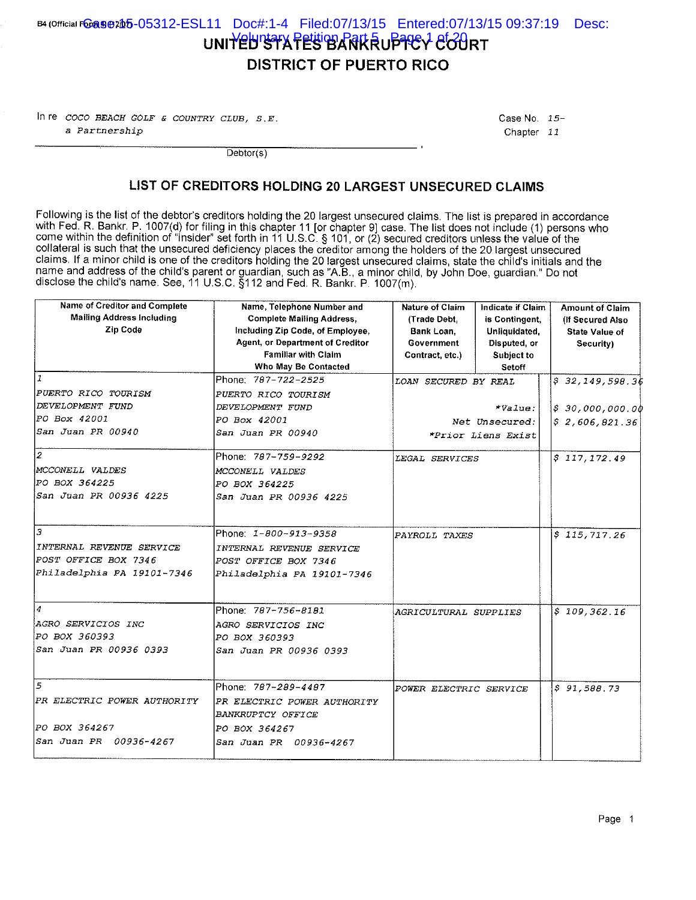## B4 (Official F@@9@@205-05312-ESL11 Doc#:1-4 Filed:07/13/15 Entered:07/13/15 09:37:19 Desc: UNITED STATES BARKRUPTEY COURT **DISTRICT OF PUERTO RICO**

In re  $COCO$  BEACH GOLF & COUNTRY CLUB,  $S.E.$ a Partnership

Case No. 15-Chapter 11

 $Dektor(s)$ 

### LIST OF CREDITORS HOLDING 20 LARGEST UNSECURED CLAIMS

Following is the list of the debtor's creditors holding the 20 largest unsecured claims. The list is prepared in accordance with Fed. R. Bankr. P. 1007(d) for filing in this chapter 11 [or chapter 9] case. The list does not include (1) persons who come within the definition of "insider" set forth in 11 U.S.C. § 101, or (2) secured creditors unl collateral is such that the unsecured deficiency places the creditor among the holders of the 20 largest unsecured claims. If a minor child is one of the creditors holding the 20 largest unsecured claims, state the child's initials and the name and address of the child's parent or guardian, such as "A.B., a minor child, by John Doe, guardian." Do not disclose the child's name. See, 11 U.S.C. §112 and Fed. R. Bankr. P. 1007(m).

| <b>Name of Creditor and Complete</b><br><b>Mailing Address Including</b><br>Zip Code | Name, Telephone Number and<br><b>Complete Mailing Address,</b><br>including Zip Code, of Employee,<br>Agent, or Department of Creditor<br><b>Familiar with Claim</b><br>Who May Be Contacted | <b>Nature of Claim</b><br>(Trade Debt)<br>Bank Loan.<br>Government<br>Contract, etc.) | Indicate if Claim<br>is Contingent.<br>Unliquidated<br>Disputed, or<br>Subject to<br>Setoff | <b>Amount of Claim</b><br>(If Secured Also<br>State Value of<br>Security) |
|--------------------------------------------------------------------------------------|----------------------------------------------------------------------------------------------------------------------------------------------------------------------------------------------|---------------------------------------------------------------------------------------|---------------------------------------------------------------------------------------------|---------------------------------------------------------------------------|
| 11                                                                                   | Phone: 787-722-2525                                                                                                                                                                          | LOAN SECURED BY REAL                                                                  |                                                                                             | \$32,149,598.36                                                           |
| <i>PUERTO RICO TOURISM</i>                                                           | <i>PUERTO RICO TOURISM</i>                                                                                                                                                                   |                                                                                       |                                                                                             |                                                                           |
| <i>DEVELOPMENT FUND</i>                                                              | DEVELOPMENT FUND                                                                                                                                                                             |                                                                                       | $*value:$                                                                                   | \$30,000,000.00                                                           |
| PO Box 42001                                                                         | PO Box 42001                                                                                                                                                                                 | Net Unsecured:                                                                        |                                                                                             | \$2,606,821.36                                                            |
| San Juan PR 00940                                                                    | San Juan PR 00940                                                                                                                                                                            | *Prior Liens Exist                                                                    |                                                                                             |                                                                           |
| l2                                                                                   | Phone: 787-759-9292                                                                                                                                                                          | LEGAL SERVICES                                                                        |                                                                                             | \$117,172,49                                                              |
| MCCONELL VALDES                                                                      | MCCONELL VALDES                                                                                                                                                                              |                                                                                       |                                                                                             |                                                                           |
| PO BOX 364225                                                                        | PO BOX 364225                                                                                                                                                                                |                                                                                       |                                                                                             |                                                                           |
| San Juan PR 00936 4225                                                               | San Juan PR 00936 4225                                                                                                                                                                       |                                                                                       |                                                                                             |                                                                           |
| Э                                                                                    | Phone: 1-800-913-9358                                                                                                                                                                        | PAYROLL TAXES                                                                         |                                                                                             | \$115,717.26                                                              |
| INTERNAL REVENUE SERVICE                                                             | INTERNAL REVENUE SERVICE                                                                                                                                                                     |                                                                                       |                                                                                             |                                                                           |
| POST OFFICE BOX 7346                                                                 | POST OFFICE BOX 7346                                                                                                                                                                         |                                                                                       |                                                                                             |                                                                           |
| Philadelphia PA 19101-7346                                                           | Philadelphia PA 19101-7346                                                                                                                                                                   |                                                                                       |                                                                                             |                                                                           |
| $\overline{4}$                                                                       | lPhone: 787-756-8181                                                                                                                                                                         | AGRICULTURAL SUPPLIES                                                                 |                                                                                             | \$109,362.16                                                              |
| AGRO SERVICIOS INC                                                                   | <i>AGRO SERVICIOS INC</i>                                                                                                                                                                    |                                                                                       |                                                                                             |                                                                           |
| PO BOX 360393                                                                        | PO BOX 360393                                                                                                                                                                                |                                                                                       |                                                                                             |                                                                           |
| San Juan PR 00936 0393                                                               | San Juan PR 00936 0393                                                                                                                                                                       |                                                                                       |                                                                                             |                                                                           |
| 5                                                                                    | Phone: 787-289-4487                                                                                                                                                                          | POWER ELECTRIC SERVICE                                                                |                                                                                             | \$91,588.73                                                               |
| PR ELECTRIC POWER AUTHORITY                                                          | PR ELECTRIC POWER AUTHORITY<br><b>BANKRUPTCY OFFICE</b>                                                                                                                                      |                                                                                       |                                                                                             |                                                                           |
| PO BOX 364267                                                                        | PO BOX 364267                                                                                                                                                                                |                                                                                       |                                                                                             |                                                                           |
| San Juan PR 00936-4267                                                               | San Juan PR 00936-4267                                                                                                                                                                       |                                                                                       |                                                                                             |                                                                           |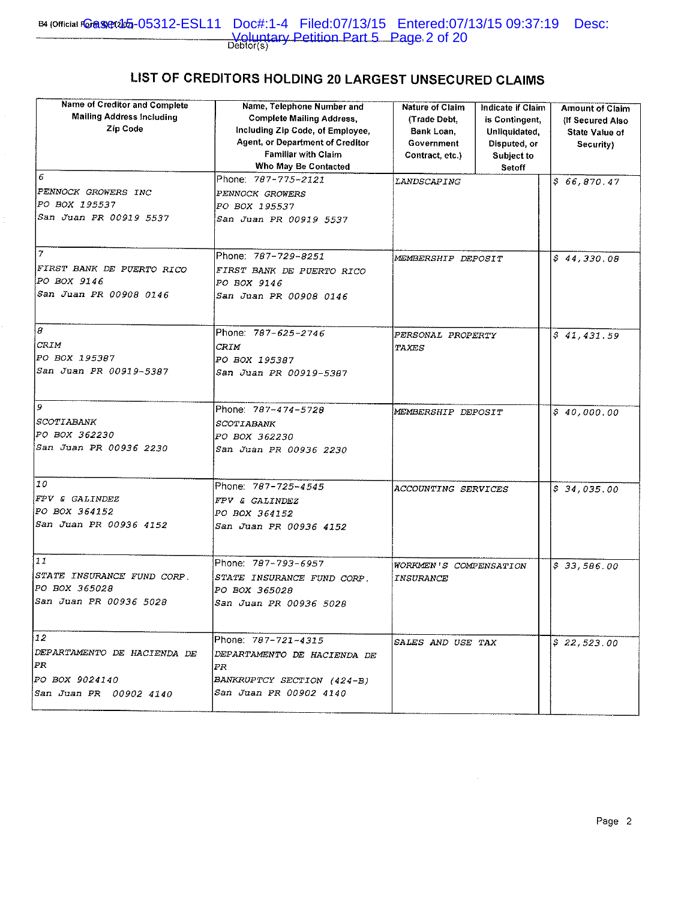## LIST OF CREDITORS HOLDING 20 LARGEST UNSECURED CLAIMS

| <b>Name of Creditor and Complete</b><br><b>Mailing Address Including</b><br>Zip Code<br>6<br>PENNOCK GROWERS INC<br>PO BOX 195537<br>San Juan PR 00919 5537 | Name, Telephone Number and<br><b>Complete Mailing Address.</b><br>Including Zip Code, of Employee,<br>Agent, or Department of Creditor<br><b>Familiar with Claim</b><br>Who May Be Contacted<br>Phone: 787-775-2121<br>PENNOCK GROWERS<br>PO BOX 195537<br>San Juan PR 00919 5537 | <b>Nature of Claim</b><br>(Trade Debt.)<br>Bank Loan,<br>Government<br>Contract, etc.)<br>LANDSCAPING | <b>Indicate if Claim</b><br>is Contingent,<br>Unliquidated.<br>Disputed, or<br>Subject to<br>Setoff | <b>Amount of Claim</b><br>(If Secured Also<br>State Value of<br>Security)<br>\$66,870.47 |
|-------------------------------------------------------------------------------------------------------------------------------------------------------------|-----------------------------------------------------------------------------------------------------------------------------------------------------------------------------------------------------------------------------------------------------------------------------------|-------------------------------------------------------------------------------------------------------|-----------------------------------------------------------------------------------------------------|------------------------------------------------------------------------------------------|
| $\tau$<br>FIRST BANK DE PUERTO RICO<br>PO BOX 9146<br>San Juan PR 00908 0146                                                                                | Phone: 787-729-8251<br>FIRST BANK DE PUERTO RICO<br><i>PO BOX 9146</i><br>San Juan PR 00908 0146                                                                                                                                                                                  | MEMBERSHIP DEPOSIT                                                                                    |                                                                                                     | \$44,330.08                                                                              |
| B<br>CRIM<br>PO BOX 195387<br>San Juan PR 00919-5387                                                                                                        | Phone: 787-625-2746<br>CRIM<br>PO BOX 195387<br>San Juan PR 00919-5387                                                                                                                                                                                                            | PERSONAL PROPERTY<br>TAXES                                                                            |                                                                                                     | \$41,431.59                                                                              |
| 9<br>SCOTIABANK<br>PO BOX 362230<br>San Juan PR 00936 2230                                                                                                  | Phone: 787-474-5728<br>SCOTIABANK<br>PO BOX 362230<br>San Juan PR 00936 2230                                                                                                                                                                                                      | MEMBERSHIP DEPOSIT                                                                                    |                                                                                                     | \$40,000.00                                                                              |
| 10<br>FPV & GALINDEZ<br>PO BOX 364152<br>San Juan PR 00936 4152                                                                                             | Phone: 787-725-4545<br>FPV & GALINDEZ<br>PO BOX 364152<br>San Juan PR 00936 4152                                                                                                                                                                                                  | ACCOUNTING SERVICES                                                                                   |                                                                                                     | \$34,035.00                                                                              |
| 11<br>STATE INSURANCE FUND CORP.<br>PO BOX 365028<br>San Juan PR 00936 5028                                                                                 | Phone: 787-793-6957<br>STATE INSURANCE FUND CORP.<br>PO BOX 365028<br>San Juan PR 00936 5028                                                                                                                                                                                      | WORKMEN'S COMPENSATION<br><i>INSURANCE</i>                                                            |                                                                                                     | \$33,586.00                                                                              |
| 12<br>DEPARTAMENTO DE HACIENDA DE<br>PR<br><i>PO BOX 9024140</i><br>San Juan PR 00902 4140                                                                  | Phone: 787-721-4315<br>DEPARTAMENTO DE HACIENDA DE<br>PR<br>BANKRUPTCY SECTION (424-B)<br><i>San Juan PR 00902 4140</i>                                                                                                                                                           | SALES AND USE TAX                                                                                     |                                                                                                     | \$22,523.00                                                                              |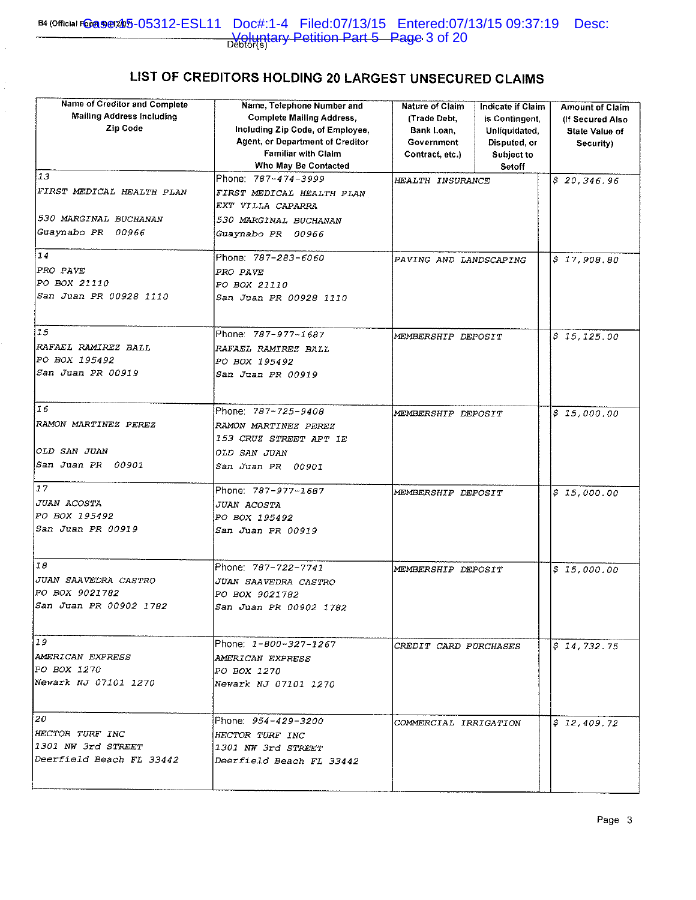## LIST OF CREDITORS HOLDING 20 LARGEST UNSECURED CLAIMS

| Name of Creditor and Complete<br><b>Mailing Address Including</b><br>Zip Code | Name, Telephone Number and<br><b>Complete Mailing Address,</b><br>Including Zip Code, of Employee,<br>Agent, or Department of Creditor<br><b>Familiar with Claim</b><br>Who May Be Contacted | <b>Nature of Claim</b><br>(Trade Debt.<br>Bank Loan,<br>Government<br>Contract, etc.) | <b>Indicate if Claim</b><br>is Contingent<br>Unliquidated.<br>Disputed, or<br>Subject to<br>Setoff | <b>Amount of Claim</b><br>(If Secured Also<br><b>State Value of</b><br>Security) |
|-------------------------------------------------------------------------------|----------------------------------------------------------------------------------------------------------------------------------------------------------------------------------------------|---------------------------------------------------------------------------------------|----------------------------------------------------------------------------------------------------|----------------------------------------------------------------------------------|
| 13<br>FIRST MEDICAL HEALTH PLAN<br>530 MARGINAL BUCHANAN                      | Phone: 787-474-3999<br>FIRST MEDICAL HEALTH PLAN<br>EXT VILLA CAPARRA<br>530 MARGINAL BUCHANAN                                                                                               | HEALTH INSURANCE                                                                      |                                                                                                    | \$20,346.96                                                                      |
| Guaynabo PR 00966                                                             | Guaynabo PR 00966                                                                                                                                                                            |                                                                                       |                                                                                                    |                                                                                  |
| 14<br>PRO PAVE<br>PO BOX 21110<br>San Juan PR 00928 1110                      | Phone: 787-283-6060<br>PRO PAVE<br>PO BOX 21110<br>San Juan PR 00928 1110                                                                                                                    | PAVING AND LANDSCAPING                                                                |                                                                                                    | \$17,908.80                                                                      |
| 15<br>RAFAEL RAMIREZ BALL<br>PO BOX 195492<br>San Juan PR 00919               | Phone: 787-977-1687<br>RAFAEL RAMIREZ BALL<br>PO BOX 195492<br>San Juan PR 00919                                                                                                             | MEMBERSHIP DEPOSIT                                                                    |                                                                                                    | \$15,125.00                                                                      |
| 16<br>RAMON MARTINEZ PEREZ<br><i>OLD SAN JUAN</i><br>San Juan PR 00901        | Phone: 787-725-9408<br>RAMON MARTINEZ PEREZ<br>153 CRUZ STREET APT 1E<br>OLD SAN JUAN<br>San Juan PR 00901                                                                                   | MEMBERSHIP DEPOSIT                                                                    |                                                                                                    | \$15,000.00                                                                      |
| 17<br>JUAN ACOSTA<br>PO BOX 195492<br>San Juan PR 00919                       | Phone: 787-977-1687<br>JUAN ACOSTA<br>PO BOX 195492<br>San Juan PR 00919                                                                                                                     | MEMBERSHIP DEPOSIT                                                                    |                                                                                                    | \$15,000.00                                                                      |
| 18<br>JUAN SAAVEDRA CASTRO<br>PO BOX 9021782<br>San Juan PR 00902 1782        | Phone: 787-722-7741<br>JUAN SAAVEDRA CASTRO<br>PO BOX 9021782<br><i>San Juan PR 00902 1782</i>                                                                                               | MEMBERSHIP DEPOSIT                                                                    |                                                                                                    | \$15,000.00                                                                      |
| 19<br>AMERICAN EXPRESS<br> PO BOX 1270<br>Newark NJ 07101 1270                | Phone: 1-800-327-1267<br>AMERICAN EXPRESS<br><i>PO BOX 1270</i><br>Newark NJ 07101 1270                                                                                                      | CREDIT CARD PURCHASES                                                                 |                                                                                                    | \$74,732,75                                                                      |
| 120<br>HECTOR TURF INC<br>1301 NW 3rd STREET<br>Deerfield Beach FL 33442      | Phone: <i>954-429-3200</i><br>HECTOR TURF INC<br>1301 NW 3rd STREET<br>Deerfield Beach FL 33442                                                                                              | COMMERCIAL IRRIGATION                                                                 |                                                                                                    | \$12,409.72                                                                      |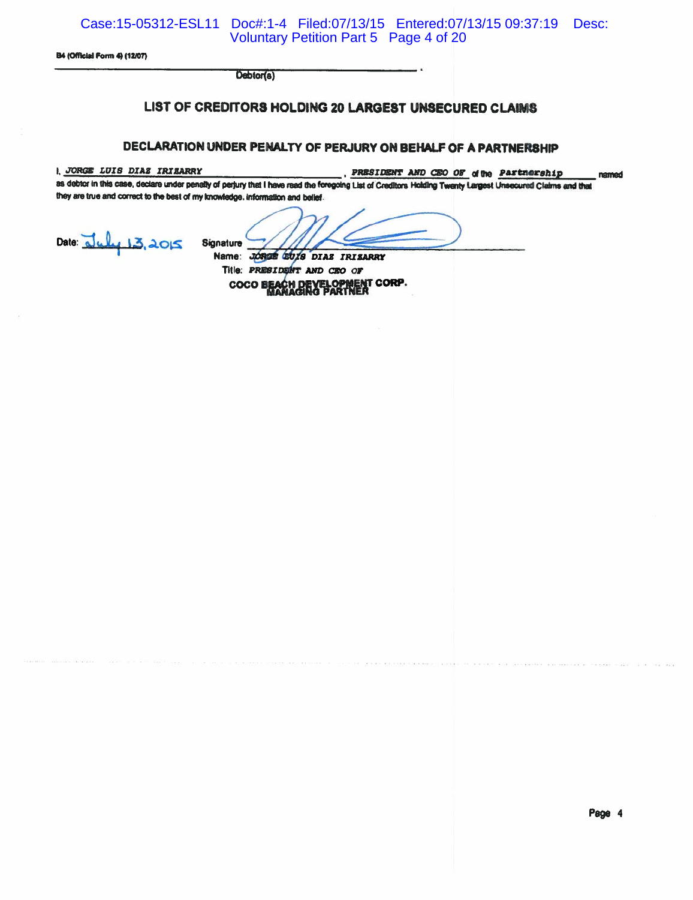Case:15-05312-ESL11 Doc#:1-4 Filed:07/13/15 Entered:07/13/15 09:37:19 Desc: Voluntary Petition Part 5 Page 4 of 20

B4 (Official Form 4) (12/07)

Debtor(a)

## LIST OF CREDITORS HOLDING 20 LARGEST UNSECURED CLAIMS

### DECLARATION UNDER PENALTY OF PERJURY ON BEHALF OF A PARTNERSHIP

1, JORGE LUIS DIAZ IRIZARRY

PRESIDENT AND CEO OF of the Partnership

as debtor in this case, declare under penalty of perjury that I have read the foregoing List of Creditors Holding Twenty Largest Unsecured Claims and that they are true and correct to the best of my knowledge, information and belief.

Date: Duly 13, 2015

Signature

Name: JORGE GUIS DIAS IRISARRY Title: PRESIDENT AND CEO OF LOPMENT CORP.<br>PARTNER **COCO** 

named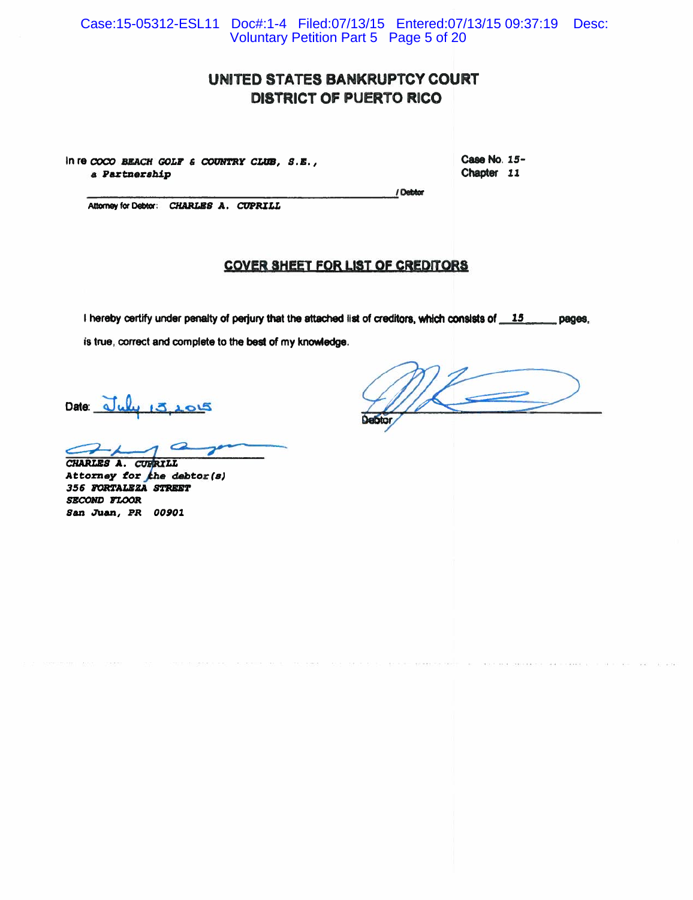Case:15-05312-ESL11 Doc#:1-4 Filed:07/13/15 Entered:07/13/15 09:37:19 Desc: Voluntary Petition Part 5 Page 5 of 20

## UNITED STATES BANKRUPTCY COURT **DISTRICT OF PUERTO RICO**

In re COCO BEACH GOLF & COUNTRY CLUB, S.E., a Partnership

Case No. 15-Chapter 11

Attorney for Debtor: CHARLES A. CUPRILL

### **COVER SHEET FOR LIST OF CREDITORS**

/ Debtor

I hereby certify under penalty of perjury that the attached list of creditors, which consists of 15 pages. is true, correct and complete to the best of my knowledge.

Date:  $J_{\mu\nu}$   $3.205$ 

CHARLES A. CURRILL

Attorney for the debtor (s) 356 FORTALEZA STREET SECOND FLOOR San Juan, PR 00901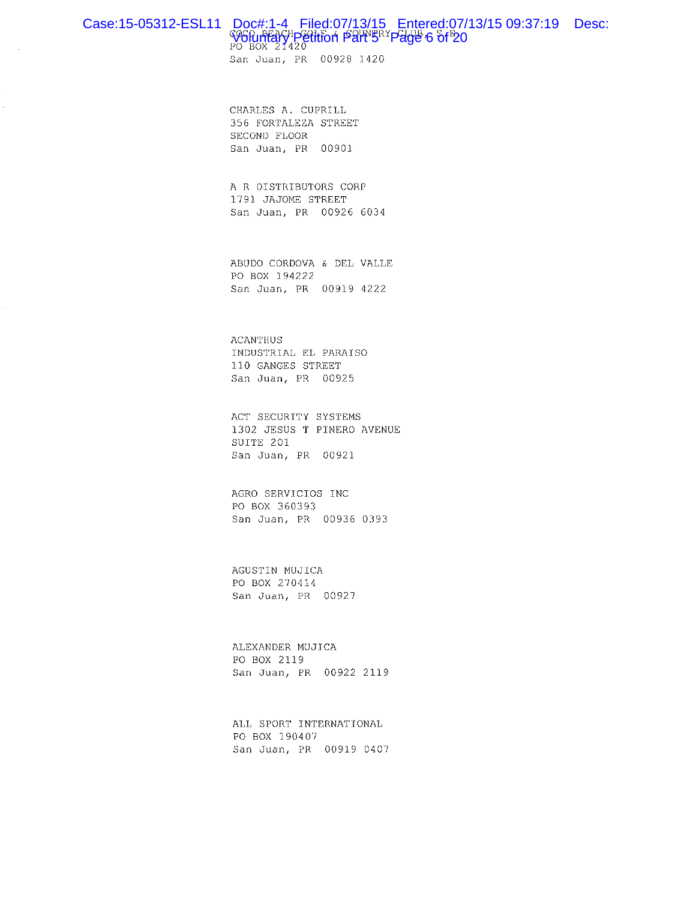# Case:15-05312-ESL11 Doc#:1-4 Filed:07/13/15 Entered:07/13/15 09:37:19 Desc:<br>World Harry Petition Part's Page 6 of 20

San Juan, PR 00928 1420

CHARLES A. CUPRILL 356 FORTALEZA STREET SECOND FLOOR San Juan, PR 00901

A R DISTRIBUTORS CORP 1791 JAJOME STREET San Juan, PR 00926 6034

ABUDO CORDOVA & DEL VALLE PO BOX 194222 San Juan, PR 00919 4222

**ACANTHUS** INDUSTRIAL EL PARAISO 110 GANGES STREET San Juan, PR 00925

ACT SECURITY SYSTEMS 1302 JESUS T PINERO AVENUE SUITE 201 San Juan, PR 00921

AGRO SERVICIOS INC PO BOX 360393 San Juan, PR 00936 0393

AGUSTIN MUJICA PO BOX 270414 San Juan, PR 00927

ALEXANDER MUJICA PO BOX 2119 San Juan, PR 00922 2119

ALL SPORT INTERNATIONAL PO BOX 190407 San Juan, PR 00919 0407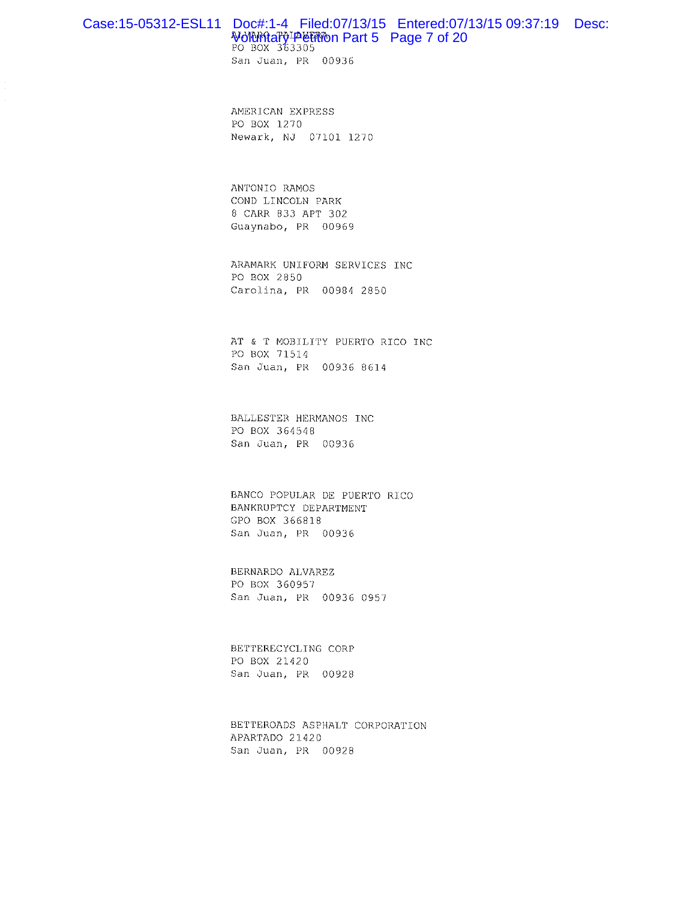## Case:15-05312-ESL11 Doc#:1-4 Filed:07/13/15 Entered:07/13/15 09:37:19 Desc: World Rate of 20 Po Box 363305

San Juan, PR 00936

AMERICAN EXPRESS PO BOX 1270 Newark, NJ 07101 1270

ANTONIO RAMOS COND LINCOLN PARK 8 CARR 833 APT 302 Guaynabo, PR 00969

ARAMARK UNIFORM SERVICES INC PO BOX 2850 Carolina, PR 00984 2850

AT & T MOBILITY PUERTO RICO INC PO BOX 71514 San Juan, PR 00936 8614

BALLESTER HERMANOS INC PO BOX 364548 San Juan, PR 00936

BANCO POPULAR DE PUERTO RICO BANKRUPTCY DEPARTMENT GPO BOX 366818 San Juan, PR 00936

BERNARDO ALVAREZ PO BOX 360957 San Juan, PR 00936 0957

BETTERECYCLING CORP PO BOX 21420 San Juan, PR 00928

BETTEROADS ASPHALT CORPORATION APARTADO 21420 San Juan, PR 00928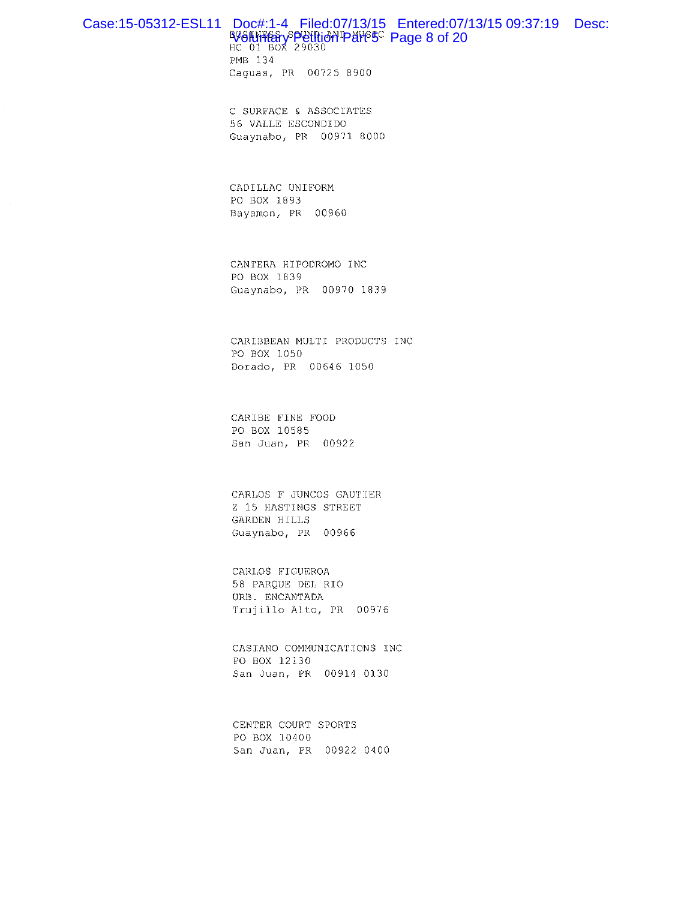# Case:15-05312-ESL11 Doc#:1-4 Filed:07/13/15 Entered:07/13/15 09:37:19 Desc:<br>W6l\\\\and RV6l\\\angle Resolution Pare is a conserved by a conserved by a conserved by a conserved by a conserved by a conserved by a conserved b

PMB 134 Caguas, PR 00725 8900

C SURFACE & ASSOCIATES 56 VALLE ESCONDIDO Guaynabo, PR 00971 8000

CADILLAC UNIFORM PO BOX 1893 Bayamon, PR 00960

CANTERA HIPODROMO INC PO BOX 1839 Guaynabo, PR 00970 1839

CARIBBEAN MULTI PRODUCTS INC PO BOX 1050 Dorado, PR 00646 1050

CARIBE FINE FOOD PO BOX 10585 San Juan, PR 00922

CARLOS F JUNCOS GAUTIER Z 15 HASTINGS STREET GARDEN HILLS Guaynabo, PR 00966

CARLOS FIGUEROA 58 PARQUE DEL RIO URB. ENCANTADA Trujillo Alto, PR 00976

CASIANO COMMUNICATIONS INC PO BOX 12130 San Juan, PR 00914 0130

CENTER COURT SPORTS PO BOX 10400 San Juan, PR 00922 0400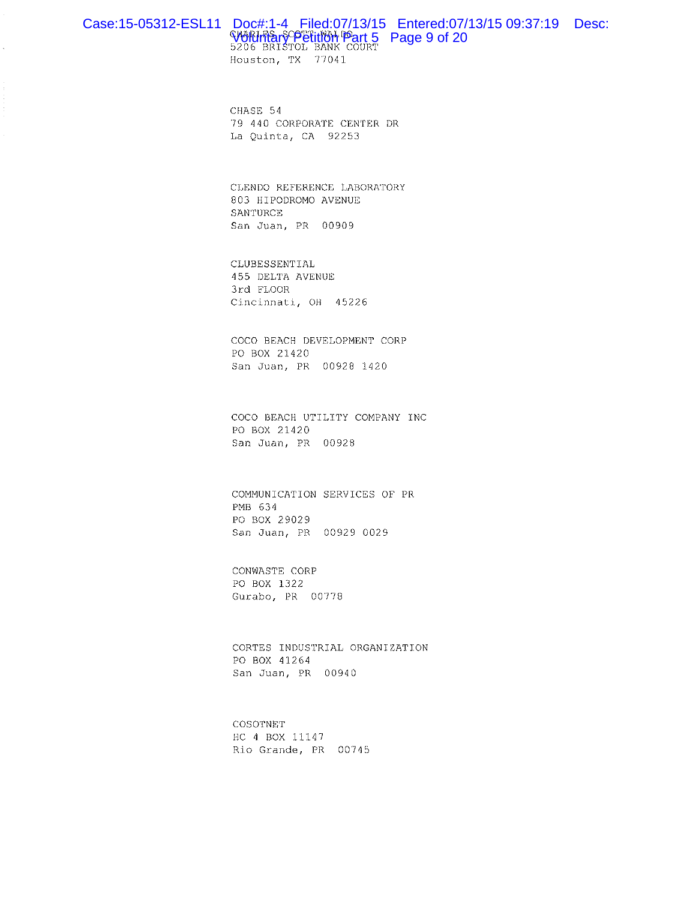# Case:15-05312-ESL11 Doc#:1-4 Filed:07/13/15 Entered:07/13/15 09:37:19 Desc:<br>WORLITRANY PETITION Part 5 Page 9 of 20<br>5206 BRISTOL BANK COURT

Houston, TX 77041

CHASE 54 79 440 CORPORATE CENTER DR La Quinta, CA 92253

CLENDO REFERENCE LABORATORY 803 HIPODROMO AVENUE SANTURCE San Juan, PR 00909

CLUBESSENTIAL 455 DELTA AVENUE 3rd FLOOR Cincinnati, OH 45226

COCO BEACH DEVELOPMENT CORP PO BOX 21420 San Juan, PR 00928 1420

COCO BEACH UTILITY COMPANY INC PO BOX 21420 San Juan, PR 00928

COMMUNICATION SERVICES OF PR PMB 634 PO BOX 29029 San Juan, PR 00929 0029

CONWASTE CORP PO BOX 1322 Gurabo, PR 00778

CORTES INDUSTRIAL ORGANIZATION PO BOX 41264 San Juan, PR 00940

COSOTNET HC 4 BOX 11147 Rio Grande, PR 00745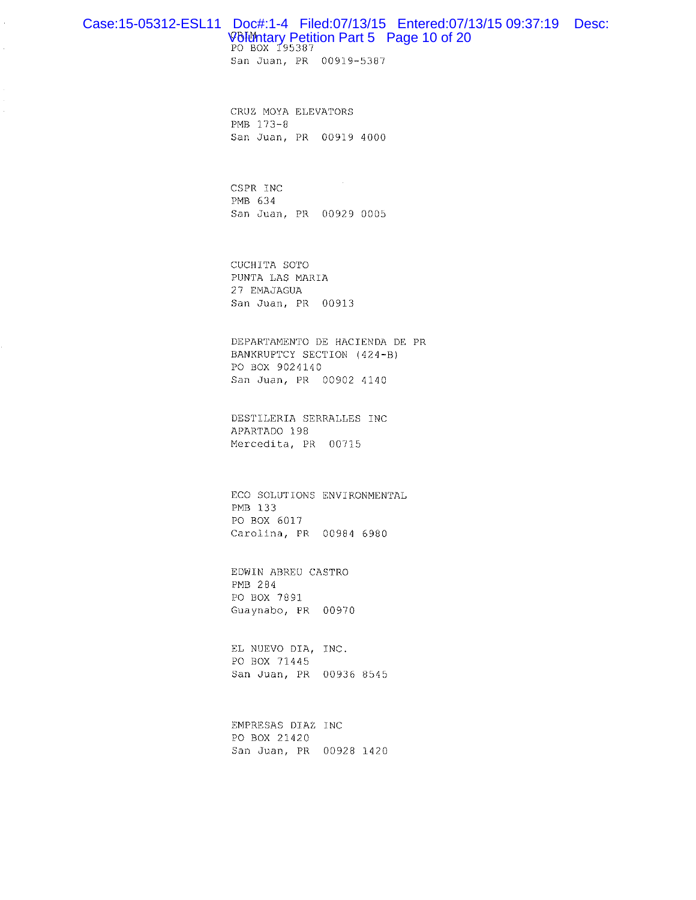## Case:15-05312-ESL11 Doc#:1-4 Filed:07/13/15 Entered:07/13/15 09:37:19 Desc: Voluntary Petition Part 5 Page 10 of 20

San Juan, PR 00919-5387

CRUZ MOYA ELEVATORS PMB 173-8 San Juan, PR 00919 4000

CSPR INC PMB 634 San Juan, PR 00929 0005

CUCHITA SOTO PUNTA LAS MARIA 27 EMAJAGUA San Juan, PR 00913

DEPARTAMENTO DE HACIENDA DE PR BANKRUPTCY SECTION (424-B) PO BOX 9024140 San Juan, PR 00902 4140

DESTILERIA SERRALLES INC APARTADO 198 Mercedita, PR 00715

ECO SOLUTIONS ENVIRONMENTAL PMB 133 PO BOX 6017 Carolina, PR 00984 6980

EDWIN ABREU CASTRO PMB 284 PO BOX 7891 Guaynabo, PR 00970

EL NUEVO DIA, INC. PO BOX 71445 San Juan, PR 00936 8545

EMPRESAS DIAZ INC PO BOX 21420 San Juan, PR 00928 1420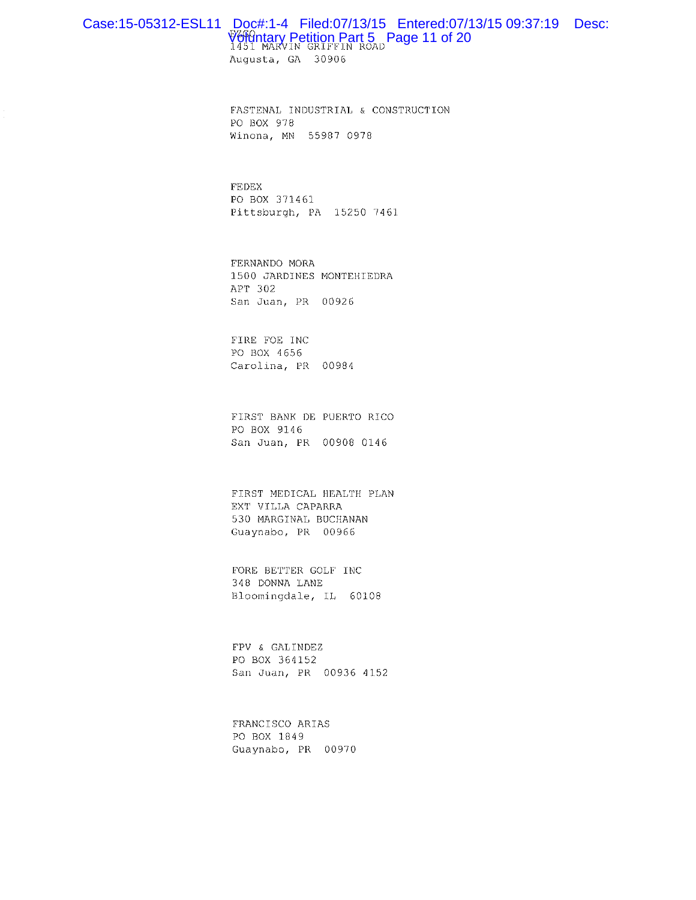## Case:15-05312-ESL11 Doc#:1-4 Filed:07/13/15 Entered:07/13/15 09:37:19 Desc: Voldntary Petition Part 5 Page 11 of 20

Augusta, GA 30906

FASTENAL INDUSTRIAL & CONSTRUCTION PO BOX 978 Winona, MN 55987 0978

**FEDEX** PO BOX 371461 Pittsburgh, PA 15250 7461

FERNANDO MORA 1500 JARDINES MONTEHIEDRA APT 302 San Juan, PR 00926

FIRE FOE INC PO BOX 4656 Carolina, PR 00984

FIRST BANK DE PUERTO RICO PO BOX 9146 San Juan, PR 00908 0146

FIRST MEDICAL HEALTH PLAN EXT VILLA CAPARRA 530 MARGINAL BUCHANAN Guaynabo, PR 00966

FORE BETTER GOLF INC 348 DONNA LANE Bloomingdale, IL 60108

FPV & GALINDEZ PO BOX 364152 San Juan, PR 00936 4152

FRANCISCO ARIAS PO BOX 1849 Guaynabo, PR 00970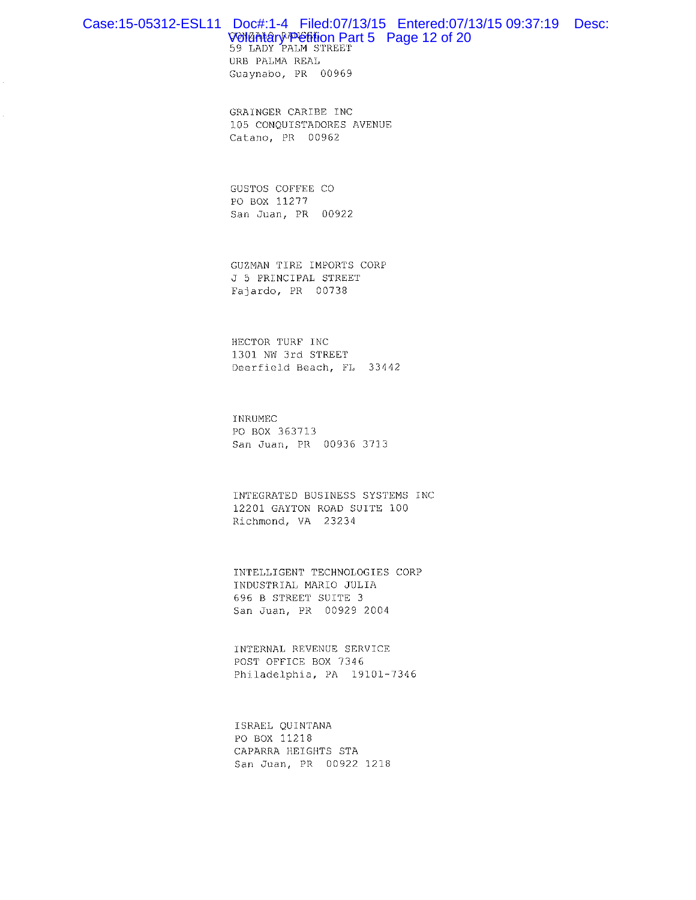## Case:15-05312-ESL11 Doc#:1-4 Filed:07/13/15 Entered:07/13/15 09:37:19 Desc: VONGANGry<sup>p</sup>Officion Part 5 Page 12 of 20<br>59 LADY PALM STREET

URB PALMA REAL Guaynabo, PR 00969

GRAINGER CARIBE INC 105 CONQUISTADORES AVENUE Catano, PR 00962

GUSTOS COFFEE CO PO BOX 11277 San Juan, PR 00922

GUZMAN TIRE IMPORTS CORP J 5 PRINCIPAL STREET Fajardo, PR 00738

HECTOR TURF INC 1301 NW 3rd STREET Deerfield Beach, FL 33442

**TNRUMEC** PO BOX 363713 San Juan, PR 00936 3713

INTEGRATED BUSINESS SYSTEMS INC 12201 GAYTON ROAD SUITE 100 Richmond, VA 23234

INTELLIGENT TECHNOLOGIES CORP INDUSTRIAL MARIO JULIA 696 B STREET SUITE 3 San Juan, PR 00929 2004

INTERNAL REVENUE SERVICE POST OFFICE BOX 7346 Philadelphia, PA 19101-7346

ISRAEL QUINTANA PO BOX 11218 CAPARRA HEIGHTS STA San Juan, PR 00922 1218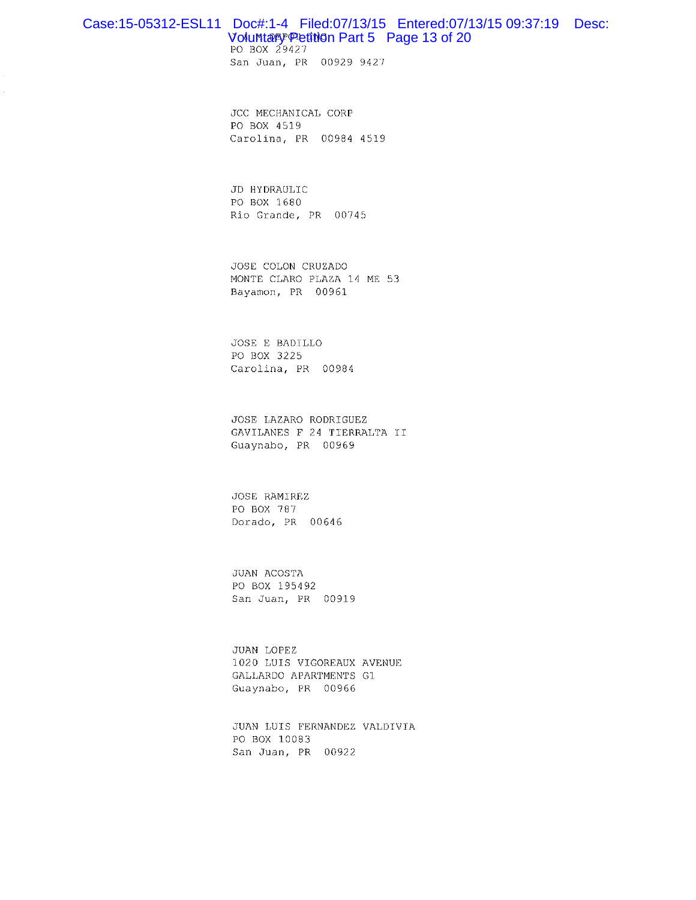### Case:15-05312-ESL11 Doc#:1-4 Filed:07/13/15 Entered:07/13/15 09:37:19 Desc: Volumtary Petinon Part 5 Page 13 of 20

PO BOX 29427 San Juan, PR 00929 9427

JCC MECHANICAL CORP PO BOX 4519 Carolina, PR 00984 4519

JD HYDRAULIC PO BOX 1680 Rio Grande, PR 00745

JOSE COLON CRUZADO MONTE CLARO PLAZA 14 ME 53 Bayamon, PR 00961

JOSE E BADILLO PO BOX 3225 Carolina, PR 00984

JOSE LAZARO RODRIGUEZ GAVILANES F 24 TIERRALTA II Guaynabo, PR 00969

**JOSE RAMIREZ** PO BOX 787 Dorado, PR 00646

JUAN ACOSTA PO BOX 195492 San Juan, PR 00919

JUAN LOPEZ 1020 LUIS VIGOREAUX AVENUE GALLARDO APARTMENTS G1 Guaynabo, PR 00966

JUAN LUIS FERNANDEZ VALDIVIA PO BOX 10083 San Juan, PR 00922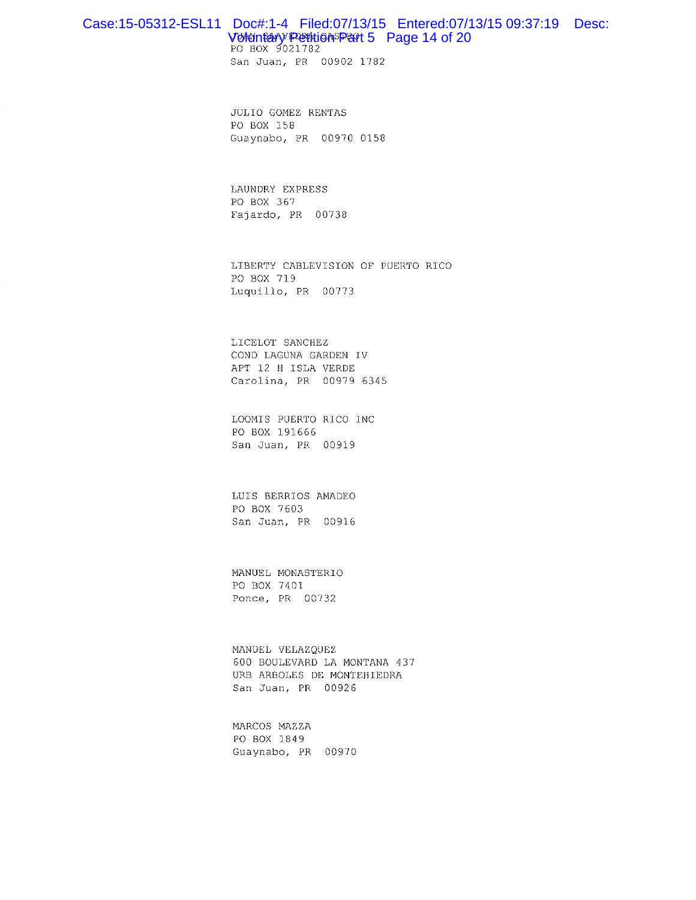#### Case:15-05312-ESL11 Doc#:1-4 Filed:07/13/15 Entered:07/13/15 09:37:19 Desc: Voluntary Petitions Part 5 Page 14 of 20

PO BOX 9021782 San Juan, PR 00902 1782

JULIO GOMEZ RENTAS PO BOX 158 Guaynabo, PR 00970 0158

LAUNDRY EXPRESS PO BOX 367 Fajardo, PR 00738

LIBERTY CABLEVISION OF PUERTO RICO PO BOX 719 Luquillo, PR 00773

LICELOT SANCHEZ COND LAGUNA GARDEN IV APT 12 H ISLA VERDE Carolina, PR 00979 6345

LOOMIS PUERTO RICO INC PO BOX 191666 San Juan, PR 00919

LUIS BERRIOS AMADEO PO BOX 7603 San Juan, PR 00916

MANUEL MONASTERIO PO BOX 7401 Ponce, PR 00732

MANUEL VELAZQUEZ 600 BOULEVARD LA MONTANA 437 URB ARBOLES DE MONTEHIEDRA San Juan, PR 00926

MARCOS MAZZA PO BOX 1849 Guaynabo, PR 00970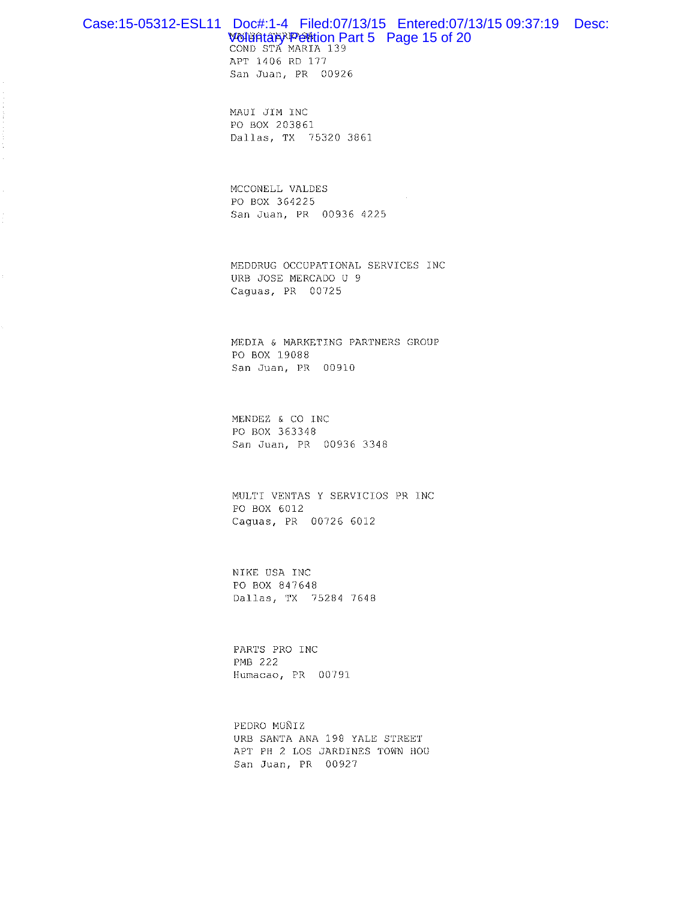#### Case:15-05312-ESL11 Doc#:1-4 Filed:07/13/15 Entered:07/13/15 09:37:19 Desc: Wollintark Petition Part 5 Page 15 of 20 COND STA MARIA 139

APT 1406 RD 177 San Juan, PR 00926

MAUI JIM INC PO BOX 203861 Dallas, TX 75320 3861

MCCONELL VALDES PO BOX 364225 San Juan, PR 00936 4225

MEDDRUG OCCUPATIONAL SERVICES INC URB JOSE MERCADO U 9 Caguas, PR 00725

MEDIA & MARKETING PARTNERS GROUP PO BOX 19088 San Juan, PR 00910

MENDEZ & CO INC PO BOX 363348 San Juan, PR 00936 3348

MULTI VENTAS Y SERVICIOS PR INC PO BOX 6012 Caguas, PR 00726 6012

NIKE USA INC PO BOX 847648 Dallas, TX 75284 7648

PARTS PRO INC PMB 222 Humacao, PR 00791

PEDRO MUÑIZ URB SANTA ANA 198 YALE STREET APT PH 2 LOS JARDINES TOWN HOU San Juan, PR 00927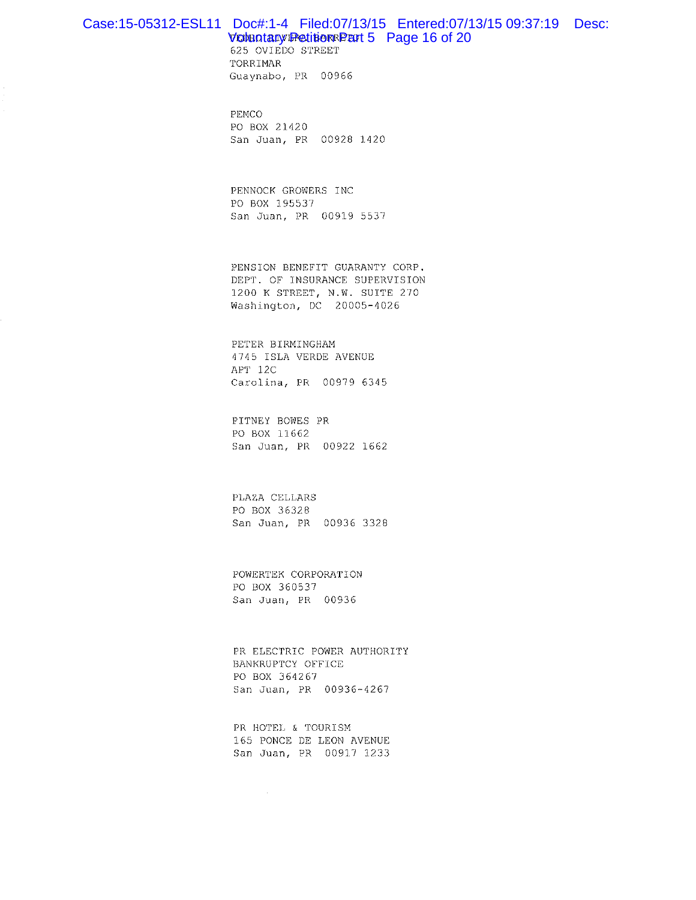## Case:15-05312-ESL11 Doc#:1-4 Filed:07/13/15 Entered:07/13/15 09:37:19 Desc:

#### **VOIGOTARV PetitioRRPET 5** Page 16 of 20

625 OVIEDO STREET TORRIMAR Guaynabo, PR 00966

PEMCO PO BOX 21420 San Juan, PR 00928 1420

PENNOCK GROWERS INC PO BOX 195537 San Juan, PR 00919 5537

PENSION BENEFIT GUARANTY CORP. DEPT. OF INSURANCE SUPERVISION 1200 K STREET, N.W. SUITE 270 Washington, DC 20005-4026

PETER BIRMINGHAM 4745 ISLA VERDE AVENUE APT 12C Carolina, PR 00979 6345

PITNEY BOWES PR PO BOX 11662 San Juan, PR 00922 1662

PLAZA CELLARS PO BOX 36328 San Juan, PR 00936 3328

POWERTEK CORPORATION PO BOX 360537 San Juan, PR 00936

PR ELECTRIC POWER AUTHORITY BANKRUPTCY OFFICE PO BOX 364267 San Juan, PR 00936-4267

PR HOTEL & TOURISM 165 PONCE DE LEON AVENUE San Juan, PR 00917 1233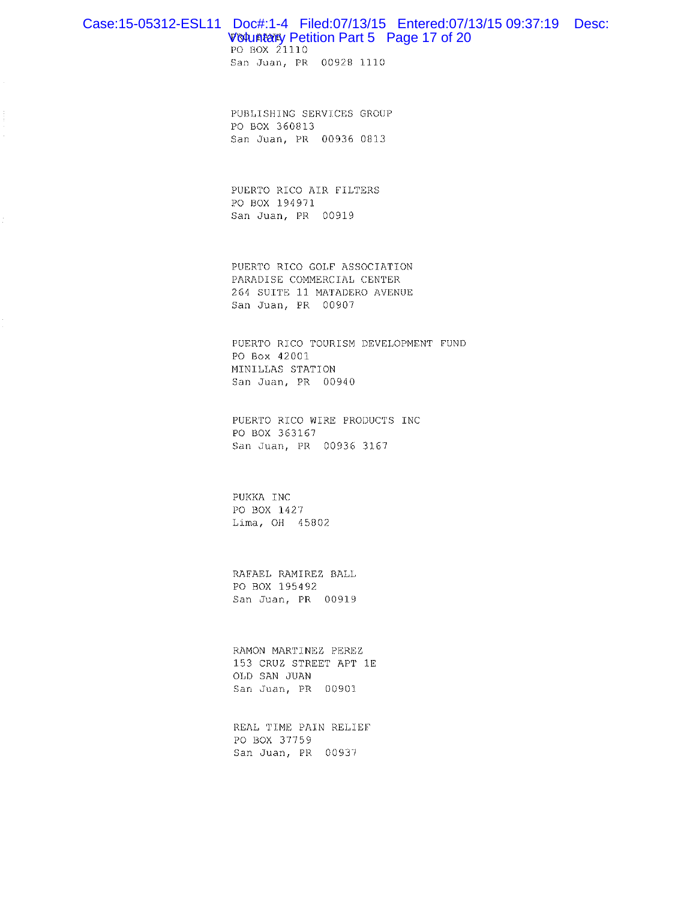#### Case:15-05312-ESL11 Doc#:1-4 Filed:07/13/15 Entered:07/13/15 09:37:19 Desc: **Voluntary Petition Part 5 Page 17 of 20**

PO BOX 21110

San Juan, PR 00928 1110

PUBLISHING SERVICES GROUP PO BOX 360813 San Juan, PR 00936 0813

PUERTO RICO AIR FILTERS PO BOX 194971 San Juan, PR 00919

PUERTO RICO GOLF ASSOCIATION PARADISE COMMERCIAL CENTER 264 SUITE 11 MATADERO AVENUE San Juan, PR 00907

PUERTO RICO TOURISM DEVELOPMENT FUND PO Box 42001 MINILLAS STATION San Juan, PR 00940

PUERTO RICO WIRE PRODUCTS INC PO BOX 363167 San Juan, PR 00936 3167

PUKKA INC PO BOX 1427 Lima, OH 45802

RAFAEL RAMIREZ BALL PO BOX 195492 San Juan, PR 00919

RAMON MARTINEZ PEREZ 153 CRUZ STREET APT 1E OLD SAN JUAN San Juan, PR 00901

REAL TIME PAIN RELIEF PO BOX 37759 San Juan, PR 00937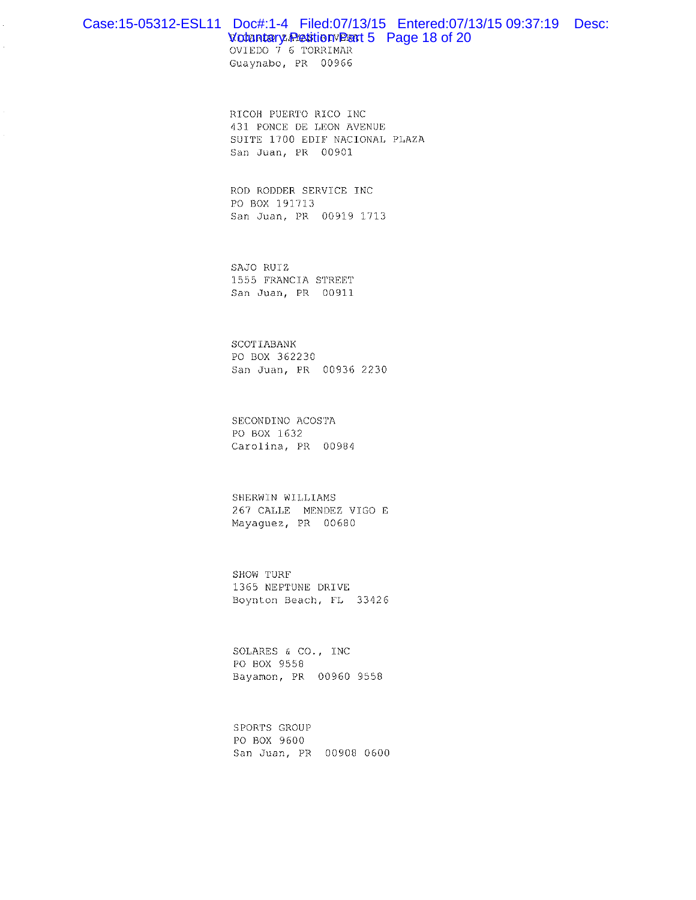#### Case:15-05312-ESL11 Doc#:1-4 Filed:07/13/15 Entered:07/13/15 09:37:19 Desc: Votentery Petition Part 5 Page 18 of 20

OVIEDO 7 6 TORRIMAR Guaynabo, PR 00966

 $\bar{z}$ 

 $\mathcal{L}$ 

RICOH PUERTO RICO INC 431 PONCE DE LEON AVENUE SUITE 1700 EDIF NACIONAL PLAZA San Juan, PR 00901

ROD RODDER SERVICE INC PO BOX 191713 San Juan, PR 00919 1713

SAJO RUIZ 1555 FRANCIA STREET San Juan, PR 00911

SCOTIABANK PO BOX 362230 San Juan, PR 00936 2230

SECONDINO ACOSTA PO BOX 1632 Carolina, PR 00984

SHERWIN WILLIAMS 267 CALLE MENDEZ VIGO E Mayaguez, PR 00680

SHOW TURF 1365 NEPTUNE DRIVE Boynton Beach, FL 33426

SOLARES & CO., INC PO BOX 9558 Bayamon, PR 00960 9558

SPORTS GROUP PO BOX 9600 San Juan, PR 00908 0600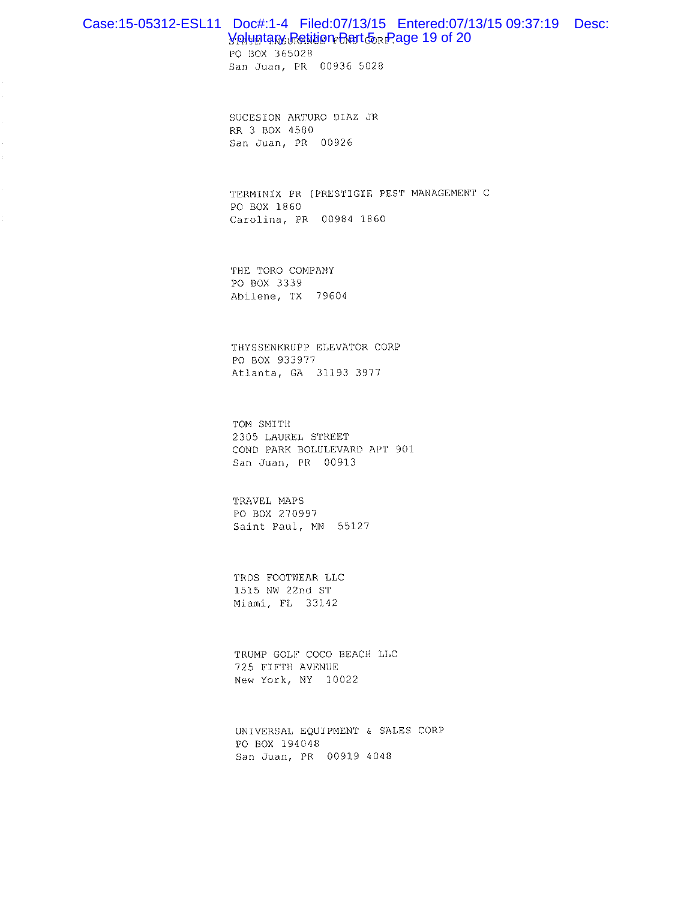#### Case:15-05312-ESL11 Doc#:1-4 Filed:07/13/15 Entered:07/13/15 09:37:19 Desc: Voluntary Retition Rart oR Page 19 of 20

PO BOX 365028 San Juan, PR 00936 5028

SUCESION ARTURO DIAZ JR RR 3 BOX 4580 San Juan, PR 00926

TERMINIX PR (PRESTIGIE PEST MANAGEMENT C PO BOX 1860 Carolina, PR 00984 1860

THE TORO COMPANY PO BOX 3339 Abilene, TX 79604

THYSSENKRUPP ELEVATOR CORP PO BOX 933977 Atlanta, GA 31193 3977

TOM SMITH 2305 LAUREL STREET COND PARK BOLULEVARD APT 901 San Juan, PR 00913

TRAVEL MAPS PO BOX 270997 Saint Paul, MN 55127

TRDS FOOTWEAR LLC 1515 NW 22nd ST Miami, FL 33142

TRUMP GOLF COCO BEACH LLC 725 FIFTH AVENUE New York, NY 10022

UNIVERSAL EQUIPMENT & SALES CORP PO BOX 194048 San Juan, PR 00919 4048